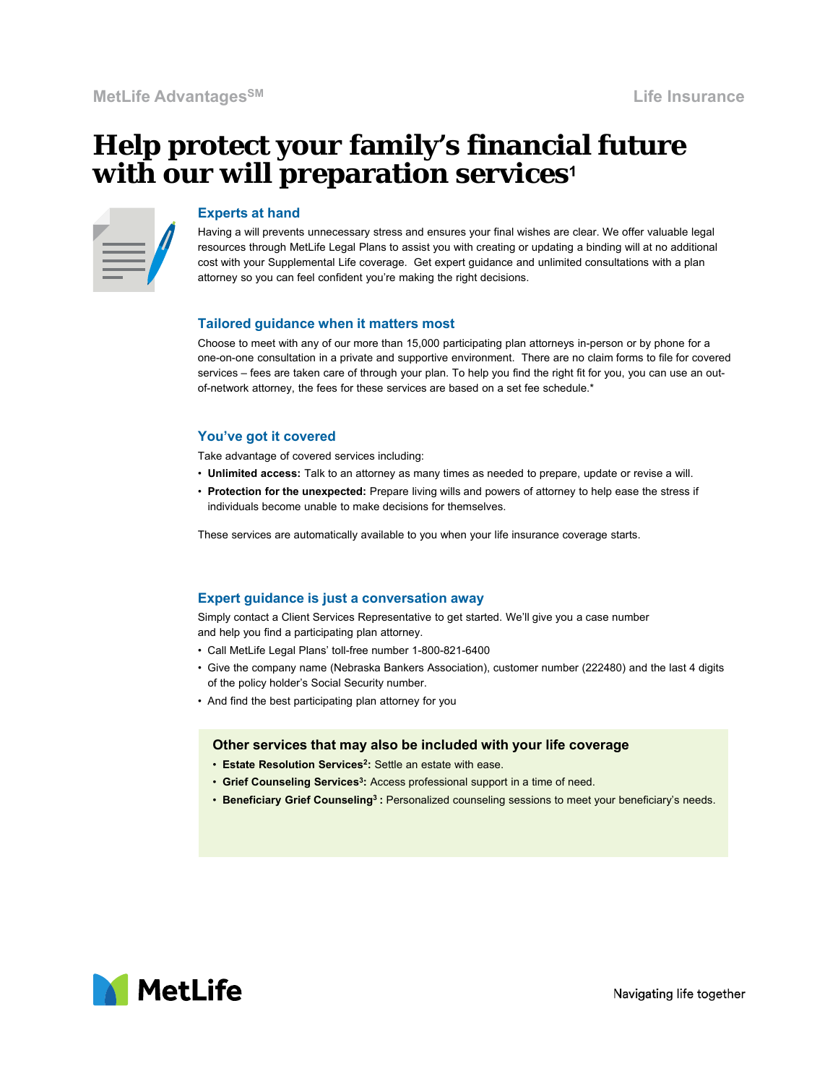# **Help protect your family's financial future with our will preparation services<sup>1</sup>**

#### **Experts at hand**

Having a will prevents unnecessary stress and ensures your final wishes are clear. We offer valuable legal resources through MetLife Legal Plans to assist you with creating or updating a binding will at no additional cost with your Supplemental Life coverage. Get expert guidance and unlimited consultations with a plan attorney so you can feel confident you're making the right decisions.

#### **Tailored guidance when it matters most**

Choose to meet with any of our more than 15,000 participating plan attorneys in-person or by phone for a one-on-one consultation in a private and supportive environment. There are no claim forms to file for covered services – fees are taken care of through your plan. To help you find the right fit for you, you can use an outof-network attorney, the fees for these services are based on a set fee schedule.\*

### **You've got it covered**

Take advantage of covered services including:

- **Unlimited access:** Talk to an attorney as many times as needed to prepare, update or revise a will.
- **Protection for the unexpected:** Prepare living wills and powers of attorney to help ease the stress if individuals become unable to make decisions for themselves.

These services are automatically available to you when your life insurance coverage starts.

### **Expert guidance is just a conversation away**

Simply contact a Client Services Representative to get started. We'll give you a case number and help you find a participating plan attorney.

- Call MetLife Legal Plans' toll-free number 1-800-821-6400
- Give the company name (Nebraska Bankers Association), customer number (222480) and the last 4 digits of the policy holder's Social Security number.
- And find the best participating plan attorney for you

## **Other services that may also be included with your life coverage**

- **Estate Resolution Services2:** Settle an estate with ease.
- **Grief Counseling Services3:** Access professional support in a time of need.
- **Beneficiary Grief Counseling3 :** Personalized counseling sessions to meet your beneficiary's needs.